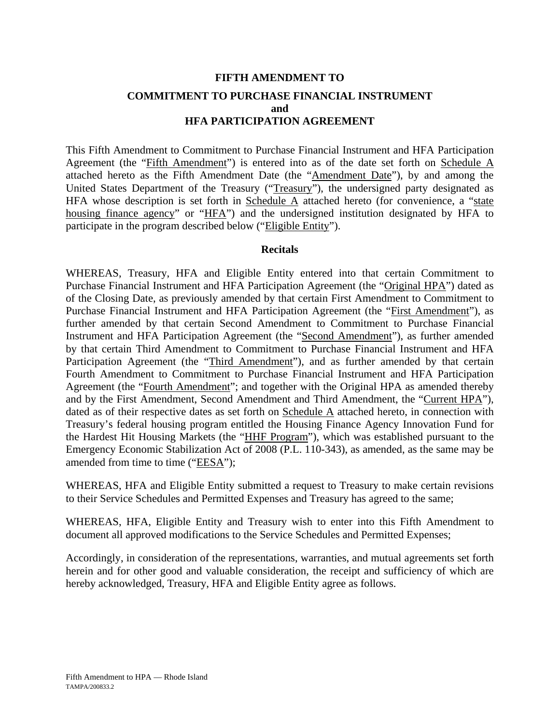# **FIFTH AMENDMENT TO COMMITMENT TO PURCHASE FINANCIAL INSTRUMENT and HFA PARTICIPATION AGREEMENT**

This Fifth Amendment to Commitment to Purchase Financial Instrument and HFA Participation Agreement (the "Fifth Amendment") is entered into as of the date set forth on Schedule A attached hereto as the Fifth Amendment Date (the "Amendment Date"), by and among the United States Department of the Treasury ("Treasury"), the undersigned party designated as HFA whose description is set forth in Schedule  $\overline{A}$  attached hereto (for convenience, a "state housing finance agency" or "HFA") and the undersigned institution designated by HFA to participate in the program described below ("Eligible Entity").

#### **Recitals**

WHEREAS, Treasury, HFA and Eligible Entity entered into that certain Commitment to Purchase Financial Instrument and HFA Participation Agreement (the "Original HPA") dated as of the Closing Date, as previously amended by that certain First Amendment to Commitment to Purchase Financial Instrument and HFA Participation Agreement (the "First Amendment"), as further amended by that certain Second Amendment to Commitment to Purchase Financial Instrument and HFA Participation Agreement (the "Second Amendment"), as further amended by that certain Third Amendment to Commitment to Purchase Financial Instrument and HFA Participation Agreement (the "Third Amendment"), and as further amended by that certain Fourth Amendment to Commitment to Purchase Financial Instrument and HFA Participation Agreement (the "Fourth Amendment"; and together with the Original HPA as amended thereby and by the First Amendment, Second Amendment and Third Amendment, the "Current HPA"), dated as of their respective dates as set forth on Schedule A attached hereto, in connection with Treasury's federal housing program entitled the Housing Finance Agency Innovation Fund for the Hardest Hit Housing Markets (the "HHF Program"), which was established pursuant to the Emergency Economic Stabilization Act of 2008 (P.L. 110-343), as amended, as the same may be amended from time to time ("EESA");

WHEREAS, HFA and Eligible Entity submitted a request to Treasury to make certain revisions to their Service Schedules and Permitted Expenses and Treasury has agreed to the same;

WHEREAS, HFA, Eligible Entity and Treasury wish to enter into this Fifth Amendment to document all approved modifications to the Service Schedules and Permitted Expenses;

Accordingly, in consideration of the representations, warranties, and mutual agreements set forth herein and for other good and valuable consideration, the receipt and sufficiency of which are hereby acknowledged, Treasury, HFA and Eligible Entity agree as follows.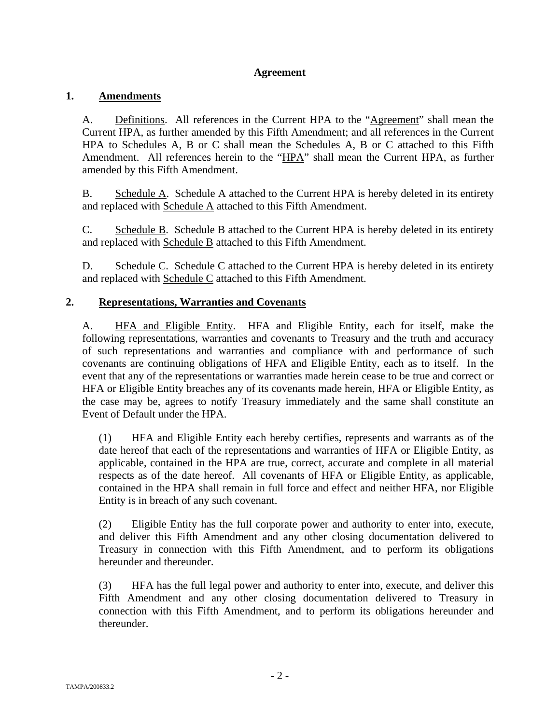## **Agreement**

## **1. Amendments**

A. Definitions. All references in the Current HPA to the "Agreement" shall mean the Current HPA, as further amended by this Fifth Amendment; and all references in the Current HPA to Schedules A, B or C shall mean the Schedules A, B or C attached to this Fifth Amendment. All references herein to the "HPA" shall mean the Current HPA, as further amended by this Fifth Amendment.

B. Schedule A. Schedule A attached to the Current HPA is hereby deleted in its entirety and replaced with Schedule A attached to this Fifth Amendment.

C. Schedule B. Schedule B attached to the Current HPA is hereby deleted in its entirety and replaced with Schedule B attached to this Fifth Amendment.

D. Schedule C. Schedule C attached to the Current HPA is hereby deleted in its entirety and replaced with Schedule C attached to this Fifth Amendment.

#### **2. Representations, Warranties and Covenants**

A. HFA and Eligible Entity. HFA and Eligible Entity, each for itself, make the following representations, warranties and covenants to Treasury and the truth and accuracy of such representations and warranties and compliance with and performance of such covenants are continuing obligations of HFA and Eligible Entity, each as to itself. In the event that any of the representations or warranties made herein cease to be true and correct or HFA or Eligible Entity breaches any of its covenants made herein, HFA or Eligible Entity, as the case may be, agrees to notify Treasury immediately and the same shall constitute an Event of Default under the HPA.

(1) HFA and Eligible Entity each hereby certifies, represents and warrants as of the date hereof that each of the representations and warranties of HFA or Eligible Entity, as applicable, contained in the HPA are true, correct, accurate and complete in all material respects as of the date hereof. All covenants of HFA or Eligible Entity, as applicable, contained in the HPA shall remain in full force and effect and neither HFA, nor Eligible Entity is in breach of any such covenant.

(2) Eligible Entity has the full corporate power and authority to enter into, execute, and deliver this Fifth Amendment and any other closing documentation delivered to Treasury in connection with this Fifth Amendment, and to perform its obligations hereunder and thereunder.

(3) HFA has the full legal power and authority to enter into, execute, and deliver this Fifth Amendment and any other closing documentation delivered to Treasury in connection with this Fifth Amendment, and to perform its obligations hereunder and thereunder.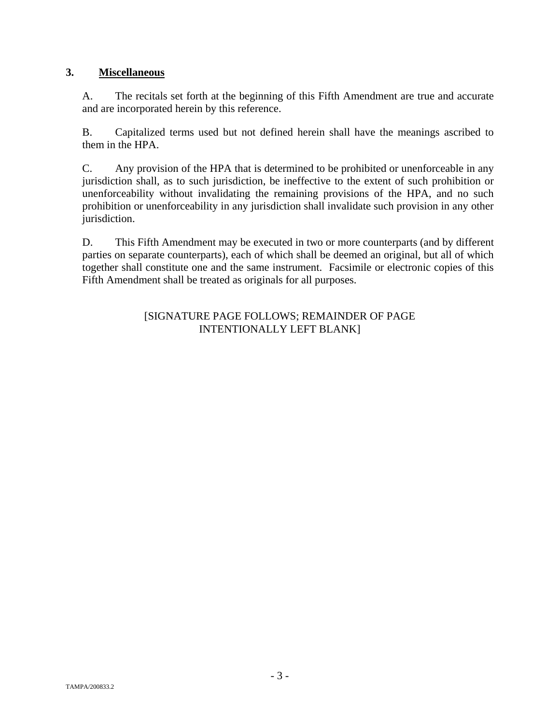# **3. Miscellaneous**

A. The recitals set forth at the beginning of this Fifth Amendment are true and accurate and are incorporated herein by this reference.

B. Capitalized terms used but not defined herein shall have the meanings ascribed to them in the HPA.

C. Any provision of the HPA that is determined to be prohibited or unenforceable in any jurisdiction shall, as to such jurisdiction, be ineffective to the extent of such prohibition or unenforceability without invalidating the remaining provisions of the HPA, and no such prohibition or unenforceability in any jurisdiction shall invalidate such provision in any other jurisdiction.

D. This Fifth Amendment may be executed in two or more counterparts (and by different parties on separate counterparts), each of which shall be deemed an original, but all of which together shall constitute one and the same instrument. Facsimile or electronic copies of this Fifth Amendment shall be treated as originals for all purposes.

## [SIGNATURE PAGE FOLLOWS; REMAINDER OF PAGE INTENTIONALLY LEFT BLANK]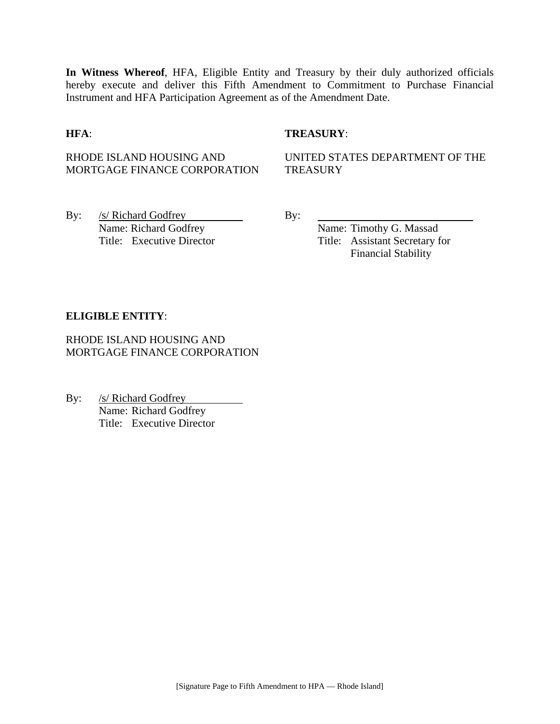**In Witness Whereof**, HFA, Eligible Entity and Treasury by their duly authorized officials hereby execute and deliver this Fifth Amendment to Commitment to Purchase Financial Instrument and HFA Participation Agreement as of the Amendment Date.

#### **HFA**: **TREASURY**:

### RHODE ISLAND HOUSING AND MORTGAGE FINANCE CORPORATION

UNITED STATES DEPARTMENT OF THE **TREASURY** 

By:  $/s/Richard Godfrey$  By: Name: Richard Godfrey Name: Timothy G. Massad

Title: Executive Director Title: Assistant Secretary for Financial Stability

#### **ELIGIBLE ENTITY**:

RHODE ISLAND HOUSING AND MORTGAGE FINANCE CORPORATION

By: /s/ Richard Godfrey Name: Richard Godfrey Title: Executive Director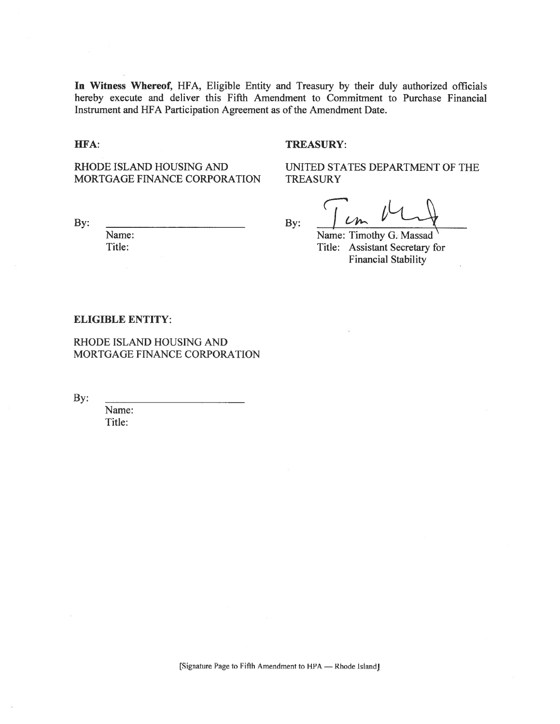In Witness Whereof, HFA, Eligible Entity and Treasury by their duly authorized officials hereby execute and deliver this Fifth Amendment to Commitment to Purchase Financial Instrument and HFA Participation Agreement as of the Amendment Date.

**TREASURY:** 

**TREASURY** 

#### HFA:

### RHODE ISLAND HOUSING AND MORTGAGE FINANCE CORPORATION

By:

By:

UNITED STATES DEPARTMENT OF THE

Name: Timothy G. Massad Title: Assistant Secretary for **Financial Stability** 

#### **ELIGIBLE ENTITY:**

Name:

Title:

RHODE ISLAND HOUSING AND MORTGAGE FINANCE CORPORATION

By:

Name: Title:

[Signature Page to Fifth Amendment to HPA — Rhode Island]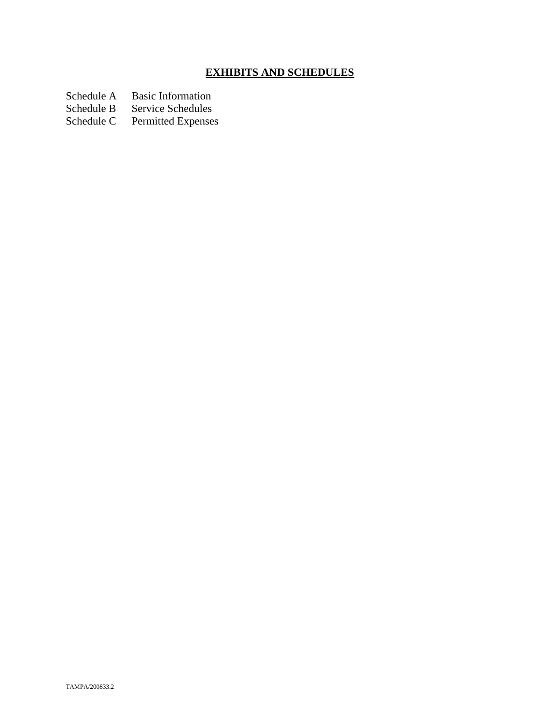# **EXHIBITS AND SCHEDULES**

Schedule A Basic Information<br>Schedule B Service Schedules

Schedule B Service Schedules<br>Schedule C Permitted Expenses

Permitted Expenses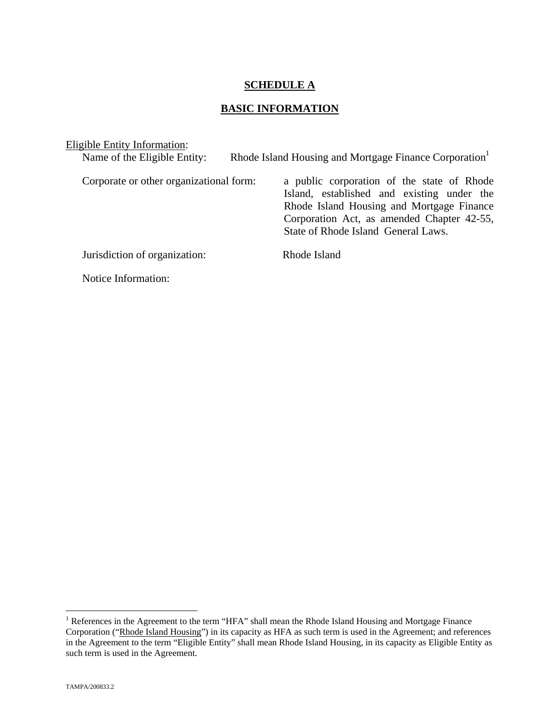### **SCHEDULE A**

# **BASIC INFORMATION**

| Eligible Entity Information:            |                                                                                                                                                                                                                            |
|-----------------------------------------|----------------------------------------------------------------------------------------------------------------------------------------------------------------------------------------------------------------------------|
| Name of the Eligible Entity:            | Rhode Island Housing and Mortgage Finance Corporation                                                                                                                                                                      |
| Corporate or other organizational form: | a public corporation of the state of Rhode<br>Island, established and existing under the<br>Rhode Island Housing and Mortgage Finance<br>Corporation Act, as amended Chapter 42-55,<br>State of Rhode Island General Laws. |
| Jurisdiction of organization:           | Rhode Island                                                                                                                                                                                                               |
| Notice Information:                     |                                                                                                                                                                                                                            |

The Teres in the Agreement to the term "HFA" shall mean the Rhode Island Housing and Mortgage Finance Corporation ("Rhode Island Housing") in its capacity as HFA as such term is used in the Agreement; and references in the Agreement to the term "Eligible Entity" shall mean Rhode Island Housing, in its capacity as Eligible Entity as such term is used in the Agreement.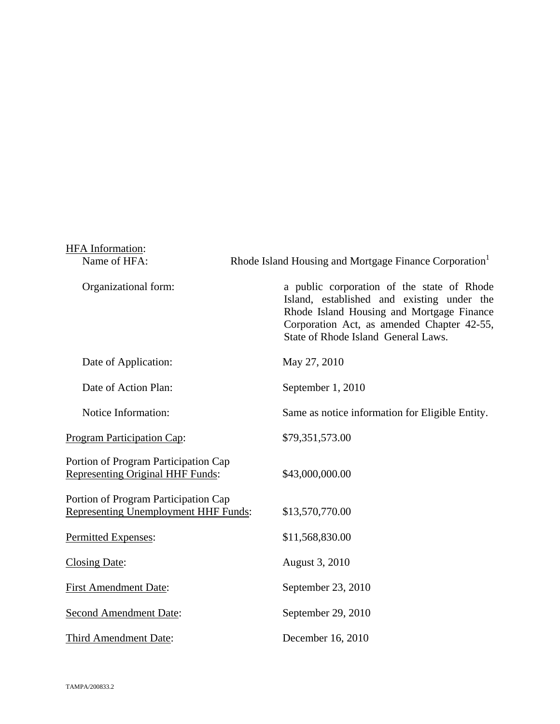| HFA Information:                                                             |                                                                                                                                                                                                                            |
|------------------------------------------------------------------------------|----------------------------------------------------------------------------------------------------------------------------------------------------------------------------------------------------------------------------|
| Name of HFA:                                                                 | Rhode Island Housing and Mortgage Finance Corporation <sup>1</sup>                                                                                                                                                         |
| Organizational form:                                                         | a public corporation of the state of Rhode<br>Island, established and existing under the<br>Rhode Island Housing and Mortgage Finance<br>Corporation Act, as amended Chapter 42-55,<br>State of Rhode Island General Laws. |
| Date of Application:                                                         | May 27, 2010                                                                                                                                                                                                               |
| Date of Action Plan:                                                         | September 1, 2010                                                                                                                                                                                                          |
| Notice Information:                                                          | Same as notice information for Eligible Entity.                                                                                                                                                                            |
| <b>Program Participation Cap:</b>                                            | \$79,351,573.00                                                                                                                                                                                                            |
| Portion of Program Participation Cap<br>Representing Original HHF Funds:     | \$43,000,000.00                                                                                                                                                                                                            |
| Portion of Program Participation Cap<br>Representing Unemployment HHF Funds: | \$13,570,770.00                                                                                                                                                                                                            |
| Permitted Expenses:                                                          | \$11,568,830.00                                                                                                                                                                                                            |
| <b>Closing Date:</b>                                                         | August 3, 2010                                                                                                                                                                                                             |
| <b>First Amendment Date:</b>                                                 | September 23, 2010                                                                                                                                                                                                         |
| <b>Second Amendment Date:</b>                                                | September 29, 2010                                                                                                                                                                                                         |
| <b>Third Amendment Date:</b>                                                 | December 16, 2010                                                                                                                                                                                                          |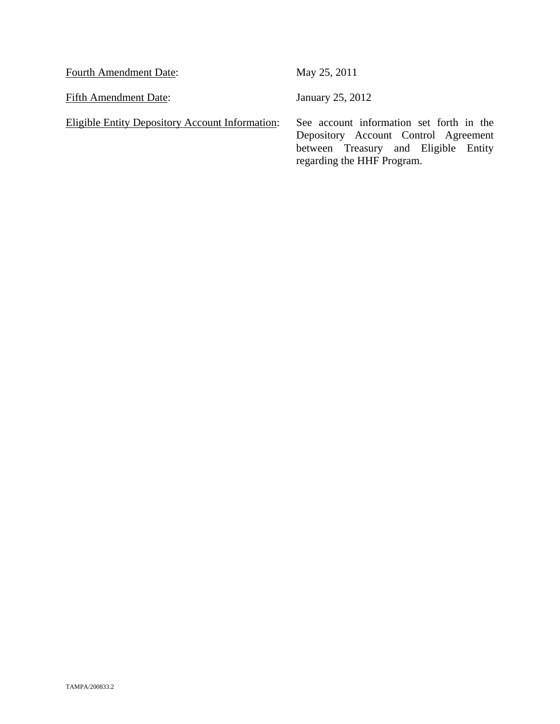Fourth Amendment Date: May 25, 2011

Fifth Amendment Date: January 25, 2012

Eligible Entity Depository Account Information: See account information set forth in the

Depository Account Control Agreement between Treasury and Eligible Entity regarding the HHF Program.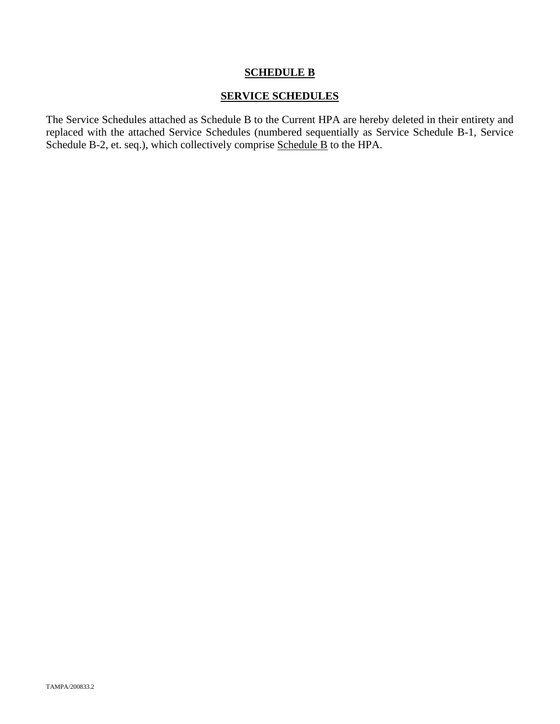## **SCHEDULE B**

### **SERVICE SCHEDULES**

The Service Schedules attached as Schedule B to the Current HPA are hereby deleted in their entirety and replaced with the attached Service Schedules (numbered sequentially as Service Schedule B-1, Service Schedule B-2, et. seq.), which collectively comprise Schedule B to the HPA.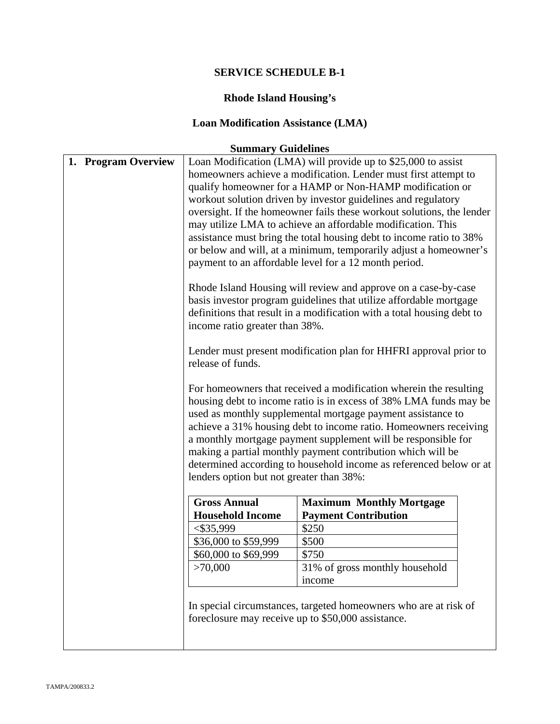# **Rhode Island Housing's**

# **Loan Modification Assistance (LMA)**

| income ratio greater than 38%.<br>release of funds.<br>lenders option but not greater than 38%: | assistance must bring the total housing debt to income ratio to 38%<br>or below and will, at a minimum, temporarily adjust a homeowner's<br>payment to an affordable level for a 12 month period.<br>Rhode Island Housing will review and approve on a case-by-case<br>basis investor program guidelines that utilize affordable mortgage<br>definitions that result in a modification with a total housing debt to<br>Lender must present modification plan for HHFRI approval prior to<br>For homeowners that received a modification wherein the resulting<br>housing debt to income ratio is in excess of 38% LMA funds may be<br>used as monthly supplemental mortgage payment assistance to<br>achieve a 31% housing debt to income ratio. Homeowners receiving<br>a monthly mortgage payment supplement will be responsible for<br>making a partial monthly payment contribution which will be<br>determined according to household income as referenced below or at |  |
|-------------------------------------------------------------------------------------------------|-----------------------------------------------------------------------------------------------------------------------------------------------------------------------------------------------------------------------------------------------------------------------------------------------------------------------------------------------------------------------------------------------------------------------------------------------------------------------------------------------------------------------------------------------------------------------------------------------------------------------------------------------------------------------------------------------------------------------------------------------------------------------------------------------------------------------------------------------------------------------------------------------------------------------------------------------------------------------------|--|
| <b>Gross Annual</b>                                                                             | <b>Maximum Monthly Mortgage</b>                                                                                                                                                                                                                                                                                                                                                                                                                                                                                                                                                                                                                                                                                                                                                                                                                                                                                                                                             |  |
| <b>Household Income</b>                                                                         | <b>Payment Contribution</b>                                                                                                                                                                                                                                                                                                                                                                                                                                                                                                                                                                                                                                                                                                                                                                                                                                                                                                                                                 |  |
| $<$ \$35,999                                                                                    | \$250                                                                                                                                                                                                                                                                                                                                                                                                                                                                                                                                                                                                                                                                                                                                                                                                                                                                                                                                                                       |  |
| \$36,000 to \$59,999                                                                            | \$500                                                                                                                                                                                                                                                                                                                                                                                                                                                                                                                                                                                                                                                                                                                                                                                                                                                                                                                                                                       |  |
| \$60,000 to \$69,999                                                                            | \$750                                                                                                                                                                                                                                                                                                                                                                                                                                                                                                                                                                                                                                                                                                                                                                                                                                                                                                                                                                       |  |
| >70,000                                                                                         | 31% of gross monthly household<br>income                                                                                                                                                                                                                                                                                                                                                                                                                                                                                                                                                                                                                                                                                                                                                                                                                                                                                                                                    |  |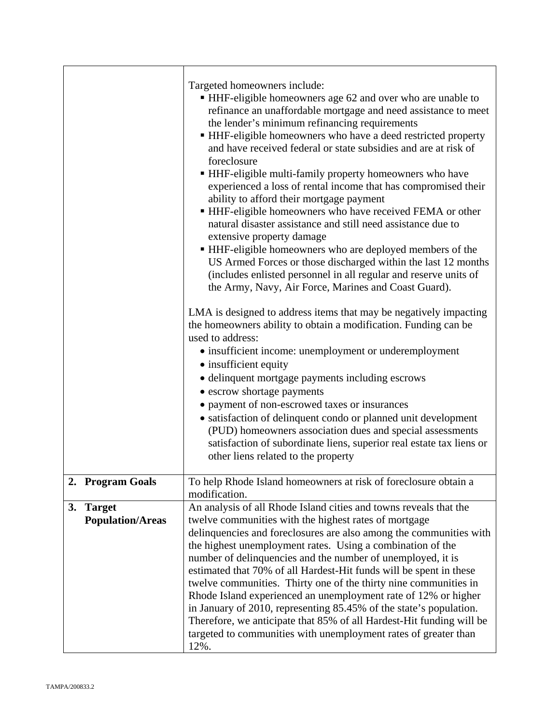|    |                                          | Targeted homeowners include:<br>• HHF-eligible homeowners age 62 and over who are unable to<br>refinance an unaffordable mortgage and need assistance to meet<br>the lender's minimum refinancing requirements<br>• HHF-eligible homeowners who have a deed restricted property<br>and have received federal or state subsidies and are at risk of<br>foreclosure<br>HHF-eligible multi-family property homeowners who have<br>experienced a loss of rental income that has compromised their<br>ability to afford their mortgage payment<br>HHF-eligible homeowners who have received FEMA or other<br>natural disaster assistance and still need assistance due to<br>extensive property damage<br>• HHF-eligible homeowners who are deployed members of the<br>US Armed Forces or those discharged within the last 12 months<br>(includes enlisted personnel in all regular and reserve units of<br>the Army, Navy, Air Force, Marines and Coast Guard).<br>LMA is designed to address items that may be negatively impacting<br>the homeowners ability to obtain a modification. Funding can be<br>used to address:<br>• insufficient income: unemployment or underemployment<br>• insufficient equity<br>• delinquent mortgage payments including escrows<br>• escrow shortage payments<br>• payment of non-escrowed taxes or insurances<br>• satisfaction of delinquent condo or planned unit development |
|----|------------------------------------------|-----------------------------------------------------------------------------------------------------------------------------------------------------------------------------------------------------------------------------------------------------------------------------------------------------------------------------------------------------------------------------------------------------------------------------------------------------------------------------------------------------------------------------------------------------------------------------------------------------------------------------------------------------------------------------------------------------------------------------------------------------------------------------------------------------------------------------------------------------------------------------------------------------------------------------------------------------------------------------------------------------------------------------------------------------------------------------------------------------------------------------------------------------------------------------------------------------------------------------------------------------------------------------------------------------------------------------------------------------------------------------------------------------------------|
|    |                                          | (PUD) homeowners association dues and special assessments<br>satisfaction of subordinate liens, superior real estate tax liens or<br>other liens related to the property                                                                                                                                                                                                                                                                                                                                                                                                                                                                                                                                                                                                                                                                                                                                                                                                                                                                                                                                                                                                                                                                                                                                                                                                                                        |
|    | 2. Program Goals                         | To help Rhode Island homeowners at risk of foreclosure obtain a<br>modification.                                                                                                                                                                                                                                                                                                                                                                                                                                                                                                                                                                                                                                                                                                                                                                                                                                                                                                                                                                                                                                                                                                                                                                                                                                                                                                                                |
| 3. | <b>Target</b><br><b>Population/Areas</b> | An analysis of all Rhode Island cities and towns reveals that the<br>twelve communities with the highest rates of mortgage                                                                                                                                                                                                                                                                                                                                                                                                                                                                                                                                                                                                                                                                                                                                                                                                                                                                                                                                                                                                                                                                                                                                                                                                                                                                                      |
|    |                                          | delinquencies and foreclosures are also among the communities with<br>the highest unemployment rates. Using a combination of the<br>number of delinquencies and the number of unemployed, it is<br>estimated that 70% of all Hardest-Hit funds will be spent in these<br>twelve communities. Thirty one of the thirty nine communities in<br>Rhode Island experienced an unemployment rate of 12% or higher<br>in January of 2010, representing 85.45% of the state's population.<br>Therefore, we anticipate that 85% of all Hardest-Hit funding will be<br>targeted to communities with unemployment rates of greater than<br>12%.                                                                                                                                                                                                                                                                                                                                                                                                                                                                                                                                                                                                                                                                                                                                                                            |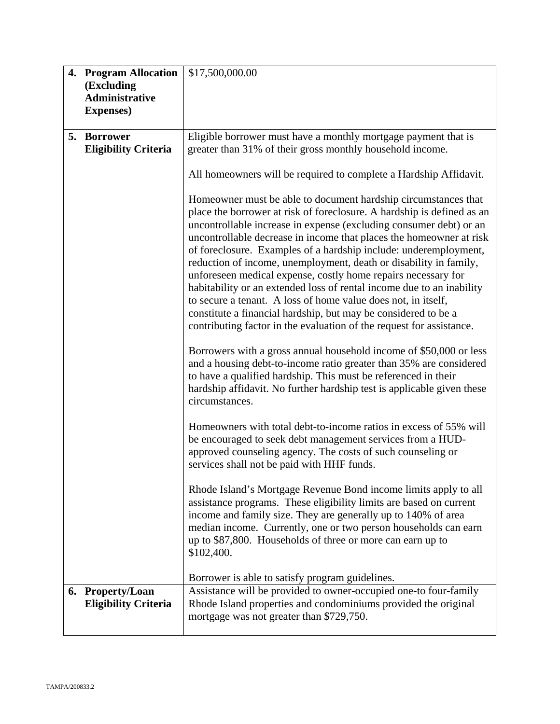| 4. Program Allocation                           | \$17,500,000.00                                                                                                                                                                                                                                                                                                                                                                                                                                                                                                                                                                                                                                                                                                                                                                     |
|-------------------------------------------------|-------------------------------------------------------------------------------------------------------------------------------------------------------------------------------------------------------------------------------------------------------------------------------------------------------------------------------------------------------------------------------------------------------------------------------------------------------------------------------------------------------------------------------------------------------------------------------------------------------------------------------------------------------------------------------------------------------------------------------------------------------------------------------------|
| (Excluding                                      |                                                                                                                                                                                                                                                                                                                                                                                                                                                                                                                                                                                                                                                                                                                                                                                     |
| <b>Administrative</b>                           |                                                                                                                                                                                                                                                                                                                                                                                                                                                                                                                                                                                                                                                                                                                                                                                     |
| <b>Expenses</b> )                               |                                                                                                                                                                                                                                                                                                                                                                                                                                                                                                                                                                                                                                                                                                                                                                                     |
| 5. Borrower                                     | Eligible borrower must have a monthly mortgage payment that is                                                                                                                                                                                                                                                                                                                                                                                                                                                                                                                                                                                                                                                                                                                      |
| <b>Eligibility Criteria</b>                     | greater than 31% of their gross monthly household income.                                                                                                                                                                                                                                                                                                                                                                                                                                                                                                                                                                                                                                                                                                                           |
|                                                 |                                                                                                                                                                                                                                                                                                                                                                                                                                                                                                                                                                                                                                                                                                                                                                                     |
|                                                 | All homeowners will be required to complete a Hardship Affidavit.                                                                                                                                                                                                                                                                                                                                                                                                                                                                                                                                                                                                                                                                                                                   |
|                                                 | Homeowner must be able to document hardship circumstances that<br>place the borrower at risk of foreclosure. A hardship is defined as an<br>uncontrollable increase in expense (excluding consumer debt) or an<br>uncontrollable decrease in income that places the homeowner at risk<br>of foreclosure. Examples of a hardship include: underemployment,<br>reduction of income, unemployment, death or disability in family,<br>unforeseen medical expense, costly home repairs necessary for<br>habitability or an extended loss of rental income due to an inability<br>to secure a tenant. A loss of home value does not, in itself,<br>constitute a financial hardship, but may be considered to be a<br>contributing factor in the evaluation of the request for assistance. |
|                                                 | Borrowers with a gross annual household income of \$50,000 or less<br>and a housing debt-to-income ratio greater than 35% are considered<br>to have a qualified hardship. This must be referenced in their<br>hardship affidavit. No further hardship test is applicable given these<br>circumstances.                                                                                                                                                                                                                                                                                                                                                                                                                                                                              |
|                                                 | Homeowners with total debt-to-income ratios in excess of 55% will<br>be encouraged to seek debt management services from a HUD-<br>approved counseling agency. The costs of such counseling or<br>services shall not be paid with HHF funds.                                                                                                                                                                                                                                                                                                                                                                                                                                                                                                                                        |
|                                                 | Rhode Island's Mortgage Revenue Bond income limits apply to all<br>assistance programs. These eligibility limits are based on current<br>income and family size. They are generally up to 140% of area<br>median income. Currently, one or two person households can earn<br>up to \$87,800. Households of three or more can earn up to<br>\$102,400.                                                                                                                                                                                                                                                                                                                                                                                                                               |
|                                                 | Borrower is able to satisfy program guidelines.                                                                                                                                                                                                                                                                                                                                                                                                                                                                                                                                                                                                                                                                                                                                     |
| 6. Property/Loan<br><b>Eligibility Criteria</b> | Assistance will be provided to owner-occupied one-to four-family<br>Rhode Island properties and condominiums provided the original<br>mortgage was not greater than \$729,750.                                                                                                                                                                                                                                                                                                                                                                                                                                                                                                                                                                                                      |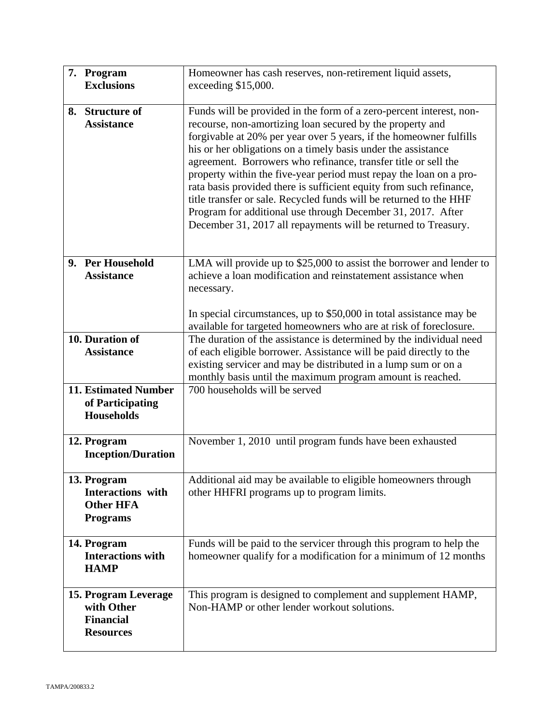| 7. Program<br><b>Exclusions</b>                                                | Homeowner has cash reserves, non-retirement liquid assets,<br>exceeding \$15,000.                                                                                                                                                                                                                                                                                                                                                                                                                                                                                                                                                                                                             |
|--------------------------------------------------------------------------------|-----------------------------------------------------------------------------------------------------------------------------------------------------------------------------------------------------------------------------------------------------------------------------------------------------------------------------------------------------------------------------------------------------------------------------------------------------------------------------------------------------------------------------------------------------------------------------------------------------------------------------------------------------------------------------------------------|
| 8. Structure of<br><b>Assistance</b>                                           | Funds will be provided in the form of a zero-percent interest, non-<br>recourse, non-amortizing loan secured by the property and<br>forgivable at 20% per year over 5 years, if the homeowner fulfills<br>his or her obligations on a timely basis under the assistance<br>agreement. Borrowers who refinance, transfer title or sell the<br>property within the five-year period must repay the loan on a pro-<br>rata basis provided there is sufficient equity from such refinance,<br>title transfer or sale. Recycled funds will be returned to the HHF<br>Program for additional use through December 31, 2017. After<br>December 31, 2017 all repayments will be returned to Treasury. |
| 9. Per Household<br><b>Assistance</b>                                          | LMA will provide up to \$25,000 to assist the borrower and lender to<br>achieve a loan modification and reinstatement assistance when<br>necessary.<br>In special circumstances, up to \$50,000 in total assistance may be<br>available for targeted homeowners who are at risk of foreclosure.                                                                                                                                                                                                                                                                                                                                                                                               |
| 10. Duration of<br><b>Assistance</b>                                           | The duration of the assistance is determined by the individual need<br>of each eligible borrower. Assistance will be paid directly to the<br>existing servicer and may be distributed in a lump sum or on a<br>monthly basis until the maximum program amount is reached.                                                                                                                                                                                                                                                                                                                                                                                                                     |
| <b>11. Estimated Number</b><br>of Participating<br><b>Households</b>           | 700 households will be served                                                                                                                                                                                                                                                                                                                                                                                                                                                                                                                                                                                                                                                                 |
| 12. Program<br><b>Inception/Duration</b>                                       | November 1, 2010 until program funds have been exhausted                                                                                                                                                                                                                                                                                                                                                                                                                                                                                                                                                                                                                                      |
| 13. Program<br><b>Interactions</b> with<br><b>Other HFA</b><br><b>Programs</b> | Additional aid may be available to eligible homeowners through<br>other HHFRI programs up to program limits.                                                                                                                                                                                                                                                                                                                                                                                                                                                                                                                                                                                  |
| 14. Program<br><b>Interactions with</b><br><b>HAMP</b>                         | Funds will be paid to the servicer through this program to help the<br>homeowner qualify for a modification for a minimum of 12 months                                                                                                                                                                                                                                                                                                                                                                                                                                                                                                                                                        |
| 15. Program Leverage<br>with Other<br><b>Financial</b><br><b>Resources</b>     | This program is designed to complement and supplement HAMP,<br>Non-HAMP or other lender workout solutions.                                                                                                                                                                                                                                                                                                                                                                                                                                                                                                                                                                                    |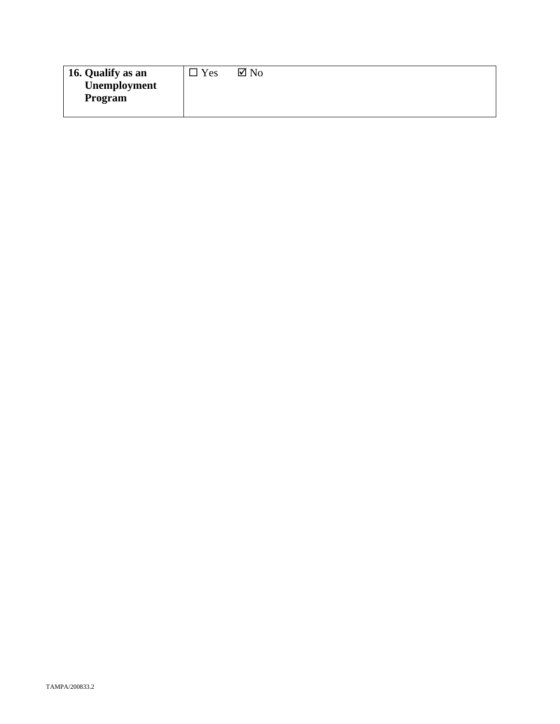| 16. Qualify as an | Yes | $\boxtimes$ No |
|-------------------|-----|----------------|
| Unemployment      |     |                |
| Program           |     |                |
|                   |     |                |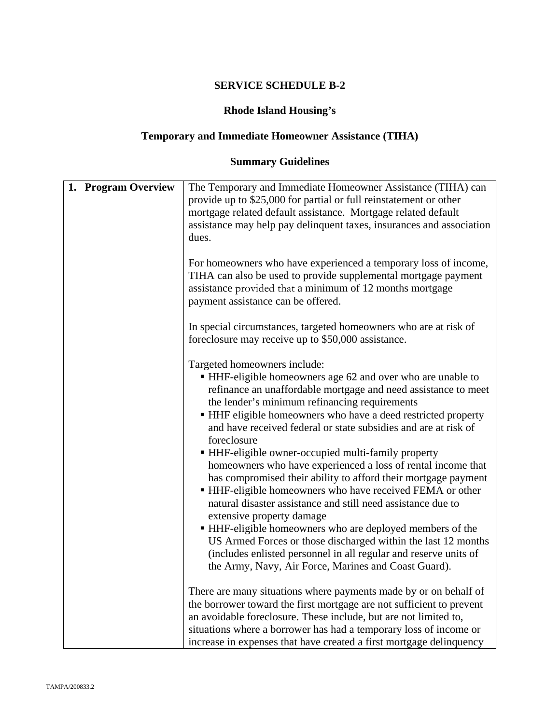# **Rhode Island Housing's**

# **Temporary and Immediate Homeowner Assistance (TIHA)**

| 1. Program Overview | The Temporary and Immediate Homeowner Assistance (TIHA) can<br>provide up to \$25,000 for partial or full reinstatement or other<br>mortgage related default assistance. Mortgage related default<br>assistance may help pay delinquent taxes, insurances and association<br>dues.                                                                                                                                                                                                                                                                                                                                                                                                                                                                                                                                                                                                                                                                                         |
|---------------------|----------------------------------------------------------------------------------------------------------------------------------------------------------------------------------------------------------------------------------------------------------------------------------------------------------------------------------------------------------------------------------------------------------------------------------------------------------------------------------------------------------------------------------------------------------------------------------------------------------------------------------------------------------------------------------------------------------------------------------------------------------------------------------------------------------------------------------------------------------------------------------------------------------------------------------------------------------------------------|
|                     | For homeowners who have experienced a temporary loss of income,<br>TIHA can also be used to provide supplemental mortgage payment<br>assistance provided that a minimum of 12 months mortgage<br>payment assistance can be offered.                                                                                                                                                                                                                                                                                                                                                                                                                                                                                                                                                                                                                                                                                                                                        |
|                     | In special circumstances, targeted homeowners who are at risk of<br>foreclosure may receive up to \$50,000 assistance.                                                                                                                                                                                                                                                                                                                                                                                                                                                                                                                                                                                                                                                                                                                                                                                                                                                     |
|                     | Targeted homeowners include:<br>• HHF-eligible homeowners age 62 and over who are unable to<br>refinance an unaffordable mortgage and need assistance to meet<br>the lender's minimum refinancing requirements<br>• HHF eligible homeowners who have a deed restricted property<br>and have received federal or state subsidies and are at risk of<br>foreclosure<br>HHF-eligible owner-occupied multi-family property<br>homeowners who have experienced a loss of rental income that<br>has compromised their ability to afford their mortgage payment<br>HHF-eligible homeowners who have received FEMA or other<br>natural disaster assistance and still need assistance due to<br>extensive property damage<br>• HHF-eligible homeowners who are deployed members of the<br>US Armed Forces or those discharged within the last 12 months<br>(includes enlisted personnel in all regular and reserve units of<br>the Army, Navy, Air Force, Marines and Coast Guard). |
|                     | There are many situations where payments made by or on behalf of<br>the borrower toward the first mortgage are not sufficient to prevent<br>an avoidable foreclosure. These include, but are not limited to,<br>situations where a borrower has had a temporary loss of income or<br>increase in expenses that have created a first mortgage delinquency                                                                                                                                                                                                                                                                                                                                                                                                                                                                                                                                                                                                                   |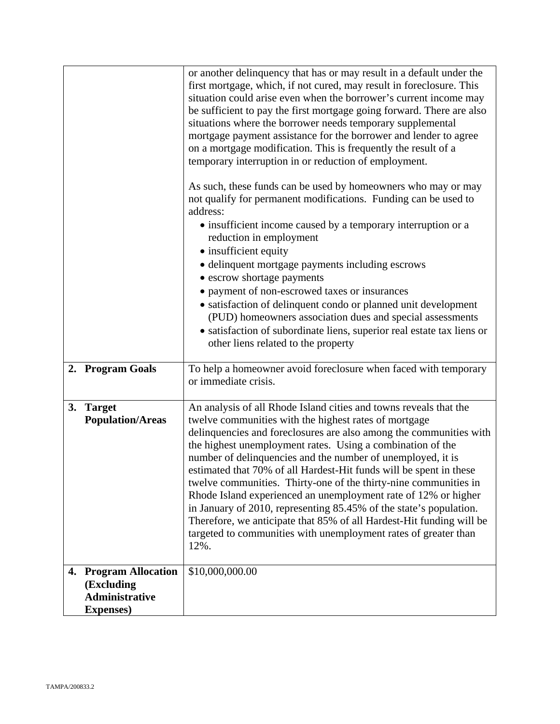|                                                | or another delinquency that has or may result in a default under the<br>first mortgage, which, if not cured, may result in foreclosure. This<br>situation could arise even when the borrower's current income may<br>be sufficient to pay the first mortgage going forward. There are also<br>situations where the borrower needs temporary supplemental<br>mortgage payment assistance for the borrower and lender to agree<br>on a mortgage modification. This is frequently the result of a<br>temporary interruption in or reduction of employment.                                                                                                                                                                                                            |
|------------------------------------------------|--------------------------------------------------------------------------------------------------------------------------------------------------------------------------------------------------------------------------------------------------------------------------------------------------------------------------------------------------------------------------------------------------------------------------------------------------------------------------------------------------------------------------------------------------------------------------------------------------------------------------------------------------------------------------------------------------------------------------------------------------------------------|
|                                                | As such, these funds can be used by homeowners who may or may<br>not qualify for permanent modifications. Funding can be used to<br>address:                                                                                                                                                                                                                                                                                                                                                                                                                                                                                                                                                                                                                       |
|                                                | • insufficient income caused by a temporary interruption or a<br>reduction in employment                                                                                                                                                                                                                                                                                                                                                                                                                                                                                                                                                                                                                                                                           |
|                                                | • insufficient equity<br>· delinquent mortgage payments including escrows                                                                                                                                                                                                                                                                                                                                                                                                                                                                                                                                                                                                                                                                                          |
|                                                | · escrow shortage payments<br>• payment of non-escrowed taxes or insurances                                                                                                                                                                                                                                                                                                                                                                                                                                                                                                                                                                                                                                                                                        |
|                                                | • satisfaction of delinquent condo or planned unit development<br>(PUD) homeowners association dues and special assessments                                                                                                                                                                                                                                                                                                                                                                                                                                                                                                                                                                                                                                        |
|                                                | · satisfaction of subordinate liens, superior real estate tax liens or<br>other liens related to the property                                                                                                                                                                                                                                                                                                                                                                                                                                                                                                                                                                                                                                                      |
| 2. Program Goals                               | To help a homeowner avoid foreclosure when faced with temporary<br>or immediate crisis.                                                                                                                                                                                                                                                                                                                                                                                                                                                                                                                                                                                                                                                                            |
| 3.<br><b>Target</b><br><b>Population/Areas</b> | An analysis of all Rhode Island cities and towns reveals that the<br>twelve communities with the highest rates of mortgage<br>delinquencies and foreclosures are also among the communities with<br>the highest unemployment rates. Using a combination of the<br>number of delinquencies and the number of unemployed, it is<br>estimated that 70% of all Hardest-Hit funds will be spent in these<br>twelve communities. Thirty-one of the thirty-nine communities in<br>Rhode Island experienced an unemployment rate of 12% or higher<br>in January of 2010, representing 85.45% of the state's population.<br>Therefore, we anticipate that 85% of all Hardest-Hit funding will be<br>targeted to communities with unemployment rates of greater than<br>12%. |
| <b>Program Allocation</b><br>4.<br>(Excluding  | \$10,000,000.00                                                                                                                                                                                                                                                                                                                                                                                                                                                                                                                                                                                                                                                                                                                                                    |
| <b>Administrative</b><br><b>Expenses</b> )     |                                                                                                                                                                                                                                                                                                                                                                                                                                                                                                                                                                                                                                                                                                                                                                    |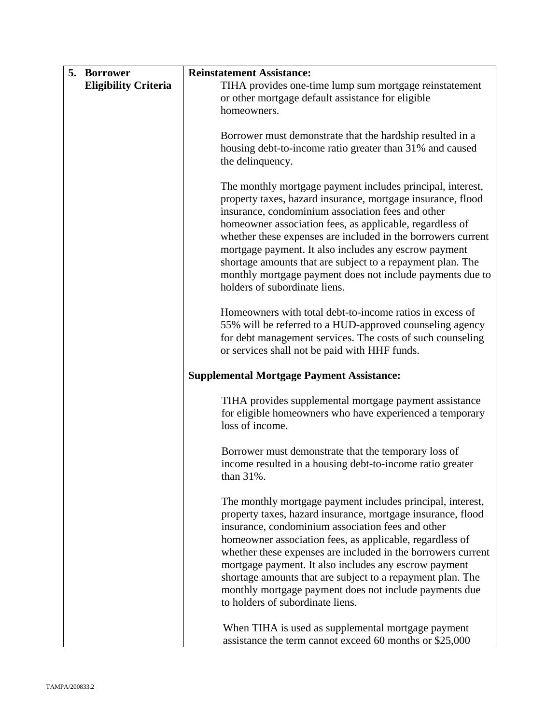| 5. Borrower                 | <b>Reinstatement Assistance:</b>                                                                                         |
|-----------------------------|--------------------------------------------------------------------------------------------------------------------------|
| <b>Eligibility Criteria</b> | TIHA provides one-time lump sum mortgage reinstatement                                                                   |
|                             | or other mortgage default assistance for eligible                                                                        |
|                             | homeowners.                                                                                                              |
|                             |                                                                                                                          |
|                             | Borrower must demonstrate that the hardship resulted in a                                                                |
|                             | housing debt-to-income ratio greater than 31% and caused                                                                 |
|                             | the delinquency.                                                                                                         |
|                             |                                                                                                                          |
|                             | The monthly mortgage payment includes principal, interest,                                                               |
|                             | property taxes, hazard insurance, mortgage insurance, flood                                                              |
|                             | insurance, condominium association fees and other                                                                        |
|                             | homeowner association fees, as applicable, regardless of                                                                 |
|                             | whether these expenses are included in the borrowers current                                                             |
|                             | mortgage payment. It also includes any escrow payment                                                                    |
|                             | shortage amounts that are subject to a repayment plan. The                                                               |
|                             | monthly mortgage payment does not include payments due to<br>holders of subordinate liens.                               |
|                             |                                                                                                                          |
|                             | Homeowners with total debt-to-income ratios in excess of                                                                 |
|                             | 55% will be referred to a HUD-approved counseling agency                                                                 |
|                             | for debt management services. The costs of such counseling                                                               |
|                             | or services shall not be paid with HHF funds.                                                                            |
|                             |                                                                                                                          |
|                             | <b>Supplemental Mortgage Payment Assistance:</b>                                                                         |
|                             | TIHA provides supplemental mortgage payment assistance                                                                   |
|                             | for eligible homeowners who have experienced a temporary                                                                 |
|                             | loss of income.                                                                                                          |
|                             |                                                                                                                          |
|                             | Borrower must demonstrate that the temporary loss of                                                                     |
|                             | income resulted in a housing debt-to-income ratio greater                                                                |
|                             | than $31\%$ .                                                                                                            |
|                             |                                                                                                                          |
|                             | The monthly mortgage payment includes principal, interest,                                                               |
|                             | property taxes, hazard insurance, mortgage insurance, flood                                                              |
|                             | insurance, condominium association fees and other                                                                        |
|                             | homeowner association fees, as applicable, regardless of<br>whether these expenses are included in the borrowers current |
|                             | mortgage payment. It also includes any escrow payment                                                                    |
|                             | shortage amounts that are subject to a repayment plan. The                                                               |
|                             | monthly mortgage payment does not include payments due                                                                   |
|                             | to holders of subordinate liens.                                                                                         |
|                             |                                                                                                                          |
|                             | When TIHA is used as supplemental mortgage payment                                                                       |
|                             | assistance the term cannot exceed 60 months or \$25,000                                                                  |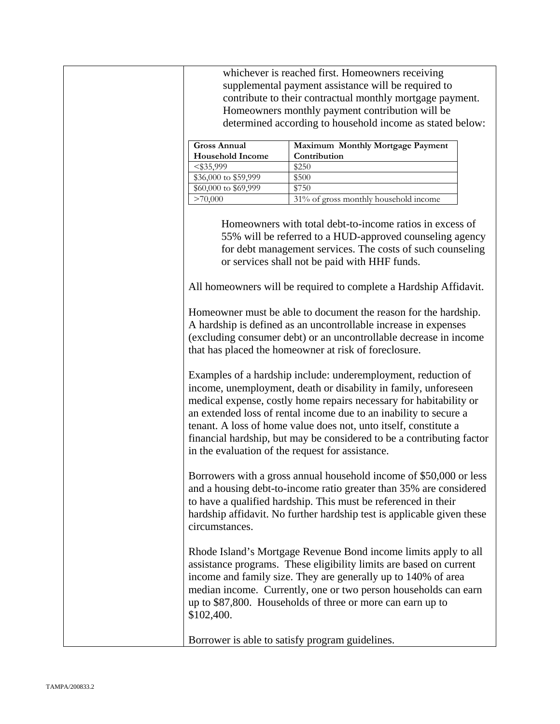whichever is reached first. Homeowners receiving supplemental payment assistance will be required to contribute to their contractual monthly mortgage payment. Homeowners monthly payment contribution will be determined according to household income as stated below:

| <b>Gross Annual</b>     | Maximum Monthly Mortgage Payment      |
|-------------------------|---------------------------------------|
| <b>Household Income</b> | Contribution                          |
| $<$ \$35,999            | \$250                                 |
| \$36,000 to \$59,999    | \$500                                 |
| \$60,000 to \$69,999    | \$750                                 |
| >70,000                 | 31% of gross monthly household income |

| Homeowners with total debt-to-income ratios in excess of   |
|------------------------------------------------------------|
| 55% will be referred to a HUD-approved counseling agency   |
| for debt management services. The costs of such counseling |
| or services shall not be paid with HHF funds.              |
|                                                            |

All homeowners will be required to complete a Hardship Affidavit.

Homeowner must be able to document the reason for the hardship. A hardship is defined as an uncontrollable increase in expenses (excluding consumer debt) or an uncontrollable decrease in income that has placed the homeowner at risk of foreclosure.

Examples of a hardship include: underemployment, reduction of income, unemployment, death or disability in family, unforeseen medical expense, costly home repairs necessary for habitability or an extended loss of rental income due to an inability to secure a tenant. A loss of home value does not, unto itself, constitute a financial hardship, but may be considered to be a contributing factor in the evaluation of the request for assistance.

Borrowers with a gross annual household income of \$50,000 or less and a housing debt-to-income ratio greater than 35% are considered to have a qualified hardship. This must be referenced in their hardship affidavit. No further hardship test is applicable given these circumstances.

Rhode Island's Mortgage Revenue Bond income limits apply to all assistance programs. These eligibility limits are based on current income and family size. They are generally up to 140% of area median income. Currently, one or two person households can earn up to \$87,800. Households of three or more can earn up to \$102,400.

Borrower is able to satisfy program guidelines.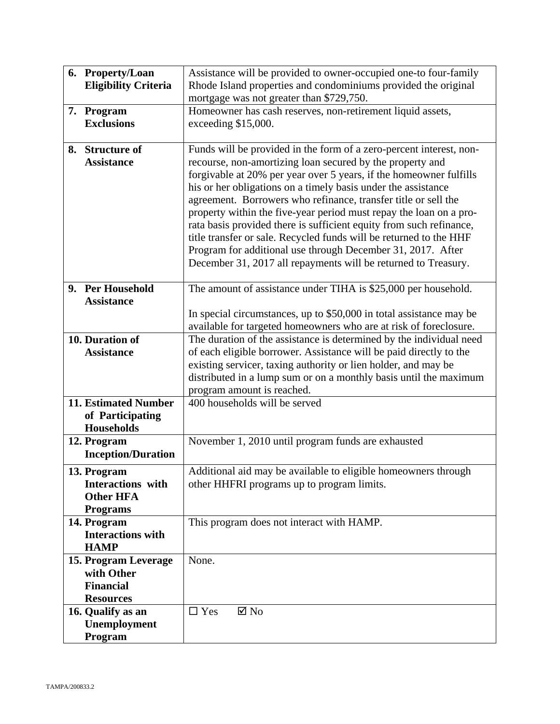| 6. Property/Loan                      | Assistance will be provided to owner-occupied one-to four-family                                                              |
|---------------------------------------|-------------------------------------------------------------------------------------------------------------------------------|
| <b>Eligibility Criteria</b>           | Rhode Island properties and condominiums provided the original                                                                |
|                                       | mortgage was not greater than \$729,750.                                                                                      |
| 7. Program                            | Homeowner has cash reserves, non-retirement liquid assets,                                                                    |
| <b>Exclusions</b>                     | exceeding \$15,000.                                                                                                           |
| 8. Structure of                       | Funds will be provided in the form of a zero-percent interest, non-                                                           |
| <b>Assistance</b>                     | recourse, non-amortizing loan secured by the property and                                                                     |
|                                       | forgivable at 20% per year over 5 years, if the homeowner fulfills                                                            |
|                                       | his or her obligations on a timely basis under the assistance                                                                 |
|                                       | agreement. Borrowers who refinance, transfer title or sell the                                                                |
|                                       | property within the five-year period must repay the loan on a pro-                                                            |
|                                       | rata basis provided there is sufficient equity from such refinance,                                                           |
|                                       | title transfer or sale. Recycled funds will be returned to the HHF                                                            |
|                                       | Program for additional use through December 31, 2017. After<br>December 31, 2017 all repayments will be returned to Treasury. |
|                                       |                                                                                                                               |
| 9. Per Household                      | The amount of assistance under TIHA is \$25,000 per household.                                                                |
| <b>Assistance</b>                     |                                                                                                                               |
|                                       | In special circumstances, up to \$50,000 in total assistance may be                                                           |
|                                       | available for targeted homeowners who are at risk of foreclosure.                                                             |
| 10. Duration of                       | The duration of the assistance is determined by the individual need                                                           |
| <b>Assistance</b>                     | of each eligible borrower. Assistance will be paid directly to the                                                            |
|                                       | existing servicer, taxing authority or lien holder, and may be                                                                |
|                                       | distributed in a lump sum or on a monthly basis until the maximum                                                             |
|                                       | program amount is reached.                                                                                                    |
| <b>11. Estimated Number</b>           | 400 households will be served                                                                                                 |
| of Participating<br><b>Households</b> |                                                                                                                               |
| 12. Program                           | November 1, 2010 until program funds are exhausted                                                                            |
| <b>Inception/Duration</b>             |                                                                                                                               |
| 13. Program                           | Additional aid may be available to eligible homeowners through                                                                |
| <b>Interactions</b> with              | other HHFRI programs up to program limits.                                                                                    |
| <b>Other HFA</b>                      |                                                                                                                               |
| <b>Programs</b>                       |                                                                                                                               |
| 14. Program                           | This program does not interact with HAMP.                                                                                     |
| <b>Interactions with</b>              |                                                                                                                               |
| <b>HAMP</b>                           |                                                                                                                               |
| 15. Program Leverage                  | None.                                                                                                                         |
| with Other                            |                                                                                                                               |
| <b>Financial</b><br><b>Resources</b>  |                                                                                                                               |
| 16. Qualify as an                     | $\square$ Yes<br>$\boxtimes$ No                                                                                               |
| Unemployment                          |                                                                                                                               |
|                                       |                                                                                                                               |
| Program                               |                                                                                                                               |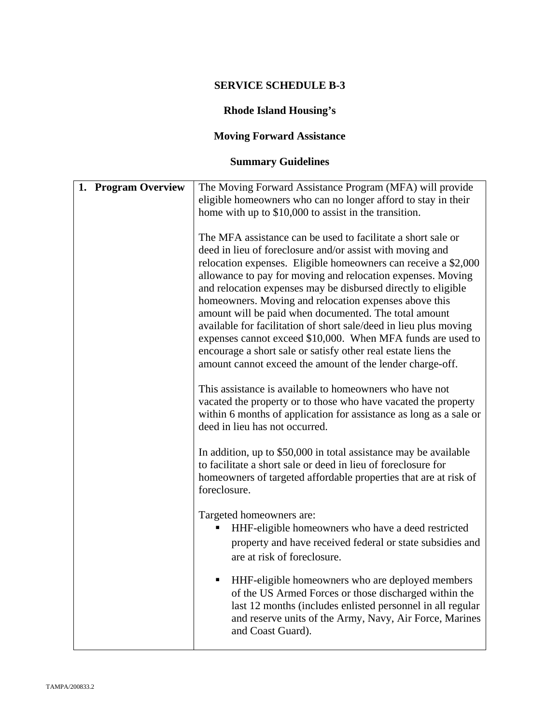# **Rhode Island Housing's**

# **Moving Forward Assistance**

| 1. Program Overview | The Moving Forward Assistance Program (MFA) will provide                                                                      |
|---------------------|-------------------------------------------------------------------------------------------------------------------------------|
|                     | eligible homeowners who can no longer afford to stay in their                                                                 |
|                     | home with up to \$10,000 to assist in the transition.                                                                         |
|                     |                                                                                                                               |
|                     | The MFA assistance can be used to facilitate a short sale or<br>deed in lieu of foreclosure and/or assist with moving and     |
|                     | relocation expenses. Eligible homeowners can receive a \$2,000<br>allowance to pay for moving and relocation expenses. Moving |
|                     | and relocation expenses may be disbursed directly to eligible<br>homeowners. Moving and relocation expenses above this        |
|                     | amount will be paid when documented. The total amount                                                                         |
|                     | available for facilitation of short sale/deed in lieu plus moving                                                             |
|                     | expenses cannot exceed \$10,000. When MFA funds are used to                                                                   |
|                     | encourage a short sale or satisfy other real estate liens the                                                                 |
|                     | amount cannot exceed the amount of the lender charge-off.                                                                     |
|                     |                                                                                                                               |
|                     | This assistance is available to homeowners who have not                                                                       |
|                     | vacated the property or to those who have vacated the property                                                                |
|                     | within 6 months of application for assistance as long as a sale or                                                            |
|                     | deed in lieu has not occurred.                                                                                                |
|                     |                                                                                                                               |
|                     | In addition, up to \$50,000 in total assistance may be available                                                              |
|                     | to facilitate a short sale or deed in lieu of foreclosure for                                                                 |
|                     | homeowners of targeted affordable properties that are at risk of                                                              |
|                     | foreclosure.                                                                                                                  |
|                     |                                                                                                                               |
|                     | Targeted homeowners are:                                                                                                      |
|                     | HHF-eligible homeowners who have a deed restricted                                                                            |
|                     | property and have received federal or state subsidies and                                                                     |
|                     | are at risk of foreclosure.                                                                                                   |
|                     |                                                                                                                               |
|                     | HHF-eligible homeowners who are deployed members<br>п                                                                         |
|                     | of the US Armed Forces or those discharged within the                                                                         |
|                     | last 12 months (includes enlisted personnel in all regular                                                                    |
|                     | and reserve units of the Army, Navy, Air Force, Marines                                                                       |
|                     | and Coast Guard).                                                                                                             |
|                     |                                                                                                                               |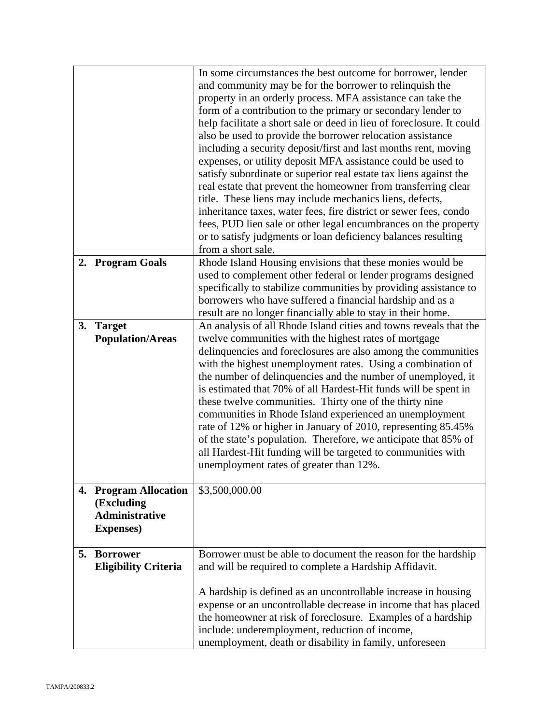|    |                                                                                       | In some circumstances the best outcome for borrower, lender<br>and community may be for the borrower to relinquish the<br>property in an orderly process. MFA assistance can take the<br>form of a contribution to the primary or secondary lender to<br>help facilitate a short sale or deed in lieu of foreclosure. It could<br>also be used to provide the borrower relocation assistance<br>including a security deposit/first and last months rent, moving                                                                                                                                                                                                                               |
|----|---------------------------------------------------------------------------------------|-----------------------------------------------------------------------------------------------------------------------------------------------------------------------------------------------------------------------------------------------------------------------------------------------------------------------------------------------------------------------------------------------------------------------------------------------------------------------------------------------------------------------------------------------------------------------------------------------------------------------------------------------------------------------------------------------|
|    |                                                                                       | expenses, or utility deposit MFA assistance could be used to<br>satisfy subordinate or superior real estate tax liens against the<br>real estate that prevent the homeowner from transferring clear                                                                                                                                                                                                                                                                                                                                                                                                                                                                                           |
|    |                                                                                       | title. These liens may include mechanics liens, defects,                                                                                                                                                                                                                                                                                                                                                                                                                                                                                                                                                                                                                                      |
|    |                                                                                       | inheritance taxes, water fees, fire district or sewer fees, condo<br>fees, PUD lien sale or other legal encumbrances on the property                                                                                                                                                                                                                                                                                                                                                                                                                                                                                                                                                          |
|    |                                                                                       | or to satisfy judgments or loan deficiency balances resulting<br>from a short sale.                                                                                                                                                                                                                                                                                                                                                                                                                                                                                                                                                                                                           |
| 2. | <b>Program Goals</b>                                                                  | Rhode Island Housing envisions that these monies would be<br>used to complement other federal or lender programs designed                                                                                                                                                                                                                                                                                                                                                                                                                                                                                                                                                                     |
|    |                                                                                       | specifically to stabilize communities by providing assistance to                                                                                                                                                                                                                                                                                                                                                                                                                                                                                                                                                                                                                              |
|    |                                                                                       | borrowers who have suffered a financial hardship and as a<br>result are no longer financially able to stay in their home.                                                                                                                                                                                                                                                                                                                                                                                                                                                                                                                                                                     |
| 3. | <b>Target</b>                                                                         | An analysis of all Rhode Island cities and towns reveals that the                                                                                                                                                                                                                                                                                                                                                                                                                                                                                                                                                                                                                             |
|    | <b>Population/Areas</b>                                                               | twelve communities with the highest rates of mortgage<br>delinquencies and foreclosures are also among the communities<br>with the highest unemployment rates. Using a combination of<br>the number of delinquencies and the number of unemployed, it<br>is estimated that 70% of all Hardest-Hit funds will be spent in<br>these twelve communities. Thirty one of the thirty nine<br>communities in Rhode Island experienced an unemployment<br>rate of 12% or higher in January of 2010, representing 85.45%<br>of the state's population. Therefore, we anticipate that 85% of<br>all Hardest-Hit funding will be targeted to communities with<br>unemployment rates of greater than 12%. |
| 4. | <b>Program Allocation</b><br>(Excluding<br><b>Administrative</b><br><b>Expenses</b> ) | \$3,500,000.00                                                                                                                                                                                                                                                                                                                                                                                                                                                                                                                                                                                                                                                                                |
| 5. | <b>Borrower</b><br><b>Eligibility Criteria</b>                                        | Borrower must be able to document the reason for the hardship<br>and will be required to complete a Hardship Affidavit.                                                                                                                                                                                                                                                                                                                                                                                                                                                                                                                                                                       |
|    |                                                                                       | A hardship is defined as an uncontrollable increase in housing                                                                                                                                                                                                                                                                                                                                                                                                                                                                                                                                                                                                                                |
|    |                                                                                       | expense or an uncontrollable decrease in income that has placed<br>the homeowner at risk of foreclosure. Examples of a hardship<br>include: underemployment, reduction of income,<br>unemployment, death or disability in family, unforeseen                                                                                                                                                                                                                                                                                                                                                                                                                                                  |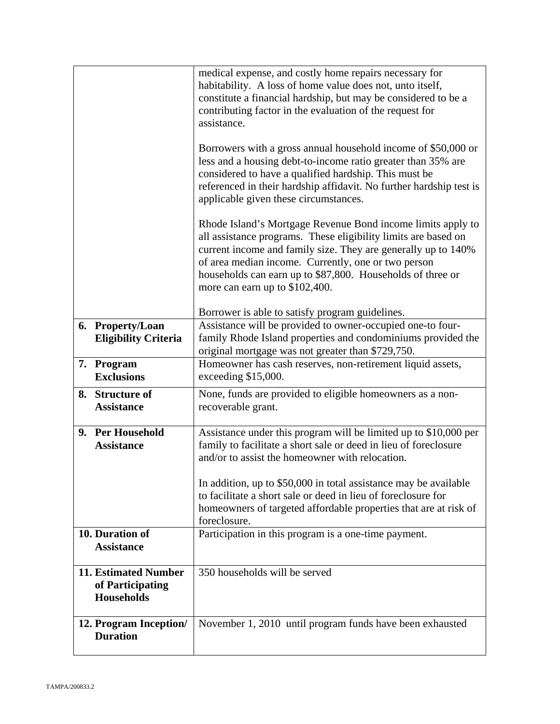|    |                                                                      | medical expense, and costly home repairs necessary for<br>habitability. A loss of home value does not, unto itself,<br>constitute a financial hardship, but may be considered to be a<br>contributing factor in the evaluation of the request for<br>assistance.<br>Borrowers with a gross annual household income of \$50,000 or<br>less and a housing debt-to-income ratio greater than 35% are<br>considered to have a qualified hardship. This must be<br>referenced in their hardship affidavit. No further hardship test is |
|----|----------------------------------------------------------------------|-----------------------------------------------------------------------------------------------------------------------------------------------------------------------------------------------------------------------------------------------------------------------------------------------------------------------------------------------------------------------------------------------------------------------------------------------------------------------------------------------------------------------------------|
|    |                                                                      | applicable given these circumstances.<br>Rhode Island's Mortgage Revenue Bond income limits apply to                                                                                                                                                                                                                                                                                                                                                                                                                              |
|    |                                                                      | all assistance programs. These eligibility limits are based on<br>current income and family size. They are generally up to 140%<br>of area median income. Currently, one or two person<br>households can earn up to \$87,800. Households of three or<br>more can earn up to \$102,400.                                                                                                                                                                                                                                            |
|    |                                                                      | Borrower is able to satisfy program guidelines.                                                                                                                                                                                                                                                                                                                                                                                                                                                                                   |
|    | 6. Property/Loan<br><b>Eligibility Criteria</b>                      | Assistance will be provided to owner-occupied one-to four-<br>family Rhode Island properties and condominiums provided the<br>original mortgage was not greater than \$729,750.                                                                                                                                                                                                                                                                                                                                                   |
|    | 7. Program<br><b>Exclusions</b>                                      | Homeowner has cash reserves, non-retirement liquid assets,<br>exceeding \$15,000.                                                                                                                                                                                                                                                                                                                                                                                                                                                 |
| 8. | <b>Structure of</b><br><b>Assistance</b>                             | None, funds are provided to eligible homeowners as a non-<br>recoverable grant.                                                                                                                                                                                                                                                                                                                                                                                                                                                   |
|    | 9. Per Household<br><b>Assistance</b>                                | Assistance under this program will be limited up to \$10,000 per<br>family to facilitate a short sale or deed in lieu of foreclosure<br>and/or to assist the homeowner with relocation.                                                                                                                                                                                                                                                                                                                                           |
|    |                                                                      | In addition, up to \$50,000 in total assistance may be available<br>to facilitate a short sale or deed in lieu of foreclosure for<br>homeowners of targeted affordable properties that are at risk of<br>foreclosure.                                                                                                                                                                                                                                                                                                             |
|    | 10. Duration of<br><b>Assistance</b>                                 | Participation in this program is a one-time payment.                                                                                                                                                                                                                                                                                                                                                                                                                                                                              |
|    | <b>11. Estimated Number</b><br>of Participating<br><b>Households</b> | 350 households will be served                                                                                                                                                                                                                                                                                                                                                                                                                                                                                                     |
|    | 12. Program Inception/<br><b>Duration</b>                            | November 1, 2010 until program funds have been exhausted                                                                                                                                                                                                                                                                                                                                                                                                                                                                          |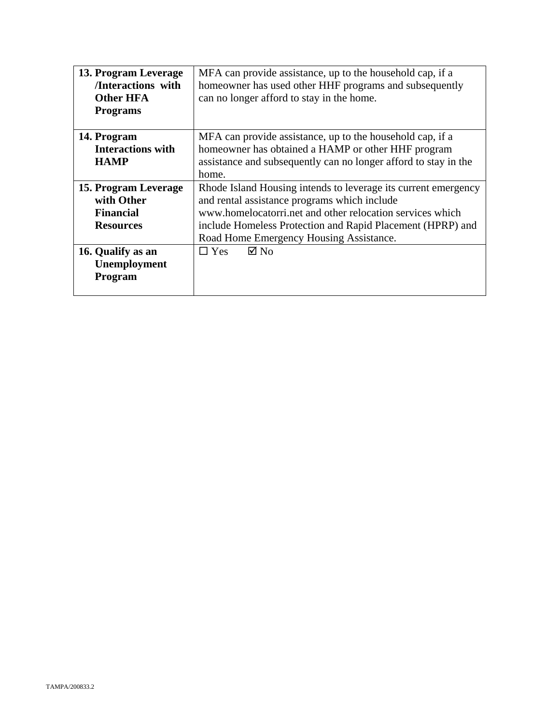| 13. Program Leverage<br>/Interactions with<br>Other HFA<br><b>Programs</b> | MFA can provide assistance, up to the household cap, if a<br>homeowner has used other HHF programs and subsequently<br>can no longer afford to stay in the home. |
|----------------------------------------------------------------------------|------------------------------------------------------------------------------------------------------------------------------------------------------------------|
| 14. Program                                                                | MFA can provide assistance, up to the household cap, if a                                                                                                        |
| <b>Interactions with</b>                                                   | homeowner has obtained a HAMP or other HHF program                                                                                                               |
| <b>HAMP</b>                                                                | assistance and subsequently can no longer afford to stay in the                                                                                                  |
|                                                                            | home.                                                                                                                                                            |
| 15. Program Leverage                                                       | Rhode Island Housing intends to leverage its current emergency                                                                                                   |
| with Other                                                                 | and rental assistance programs which include                                                                                                                     |
| <b>Financial</b>                                                           | www.homelocatorri.net and other relocation services which                                                                                                        |
| <b>Resources</b>                                                           | include Homeless Protection and Rapid Placement (HPRP) and                                                                                                       |
|                                                                            | Road Home Emergency Housing Assistance.                                                                                                                          |
| 16. Qualify as an                                                          | $\boxtimes$ No<br>$\square$ Yes                                                                                                                                  |
| Unemployment                                                               |                                                                                                                                                                  |
| <b>Program</b>                                                             |                                                                                                                                                                  |
|                                                                            |                                                                                                                                                                  |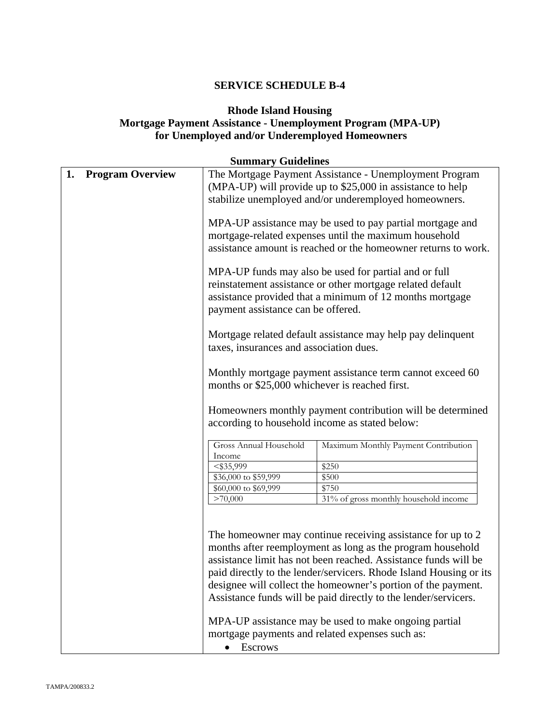### **Rhode Island Housing Mortgage Payment Assistance - Unemployment Program (MPA-UP) for Unemployed and/or Underemployed Homeowners**

| 1. | <b>Program Overview</b> |                                                | The Mortgage Payment Assistance - Unemployment Program<br>(MPA-UP) will provide up to \$25,000 in assistance to help<br>stabilize unemployed and/or underemployed homeowners.                                                                                                                                                                                                                                                                                                                                      |
|----|-------------------------|------------------------------------------------|--------------------------------------------------------------------------------------------------------------------------------------------------------------------------------------------------------------------------------------------------------------------------------------------------------------------------------------------------------------------------------------------------------------------------------------------------------------------------------------------------------------------|
|    |                         |                                                | MPA-UP assistance may be used to pay partial mortgage and<br>mortgage-related expenses until the maximum household<br>assistance amount is reached or the homeowner returns to work.                                                                                                                                                                                                                                                                                                                               |
|    |                         | payment assistance can be offered.             | MPA-UP funds may also be used for partial and or full<br>reinstatement assistance or other mortgage related default<br>assistance provided that a minimum of 12 months mortgage                                                                                                                                                                                                                                                                                                                                    |
|    |                         | taxes, insurances and association dues.        | Mortgage related default assistance may help pay delinquent                                                                                                                                                                                                                                                                                                                                                                                                                                                        |
|    |                         | months or \$25,000 whichever is reached first. | Monthly mortgage payment assistance term cannot exceed 60                                                                                                                                                                                                                                                                                                                                                                                                                                                          |
|    |                         | according to household income as stated below: | Homeowners monthly payment contribution will be determined                                                                                                                                                                                                                                                                                                                                                                                                                                                         |
|    |                         | Gross Annual Household<br>Income               | Maximum Monthly Payment Contribution                                                                                                                                                                                                                                                                                                                                                                                                                                                                               |
|    |                         | $<$ \$35,999                                   | \$250                                                                                                                                                                                                                                                                                                                                                                                                                                                                                                              |
|    |                         | \$36,000 to \$59,999                           | \$500                                                                                                                                                                                                                                                                                                                                                                                                                                                                                                              |
|    |                         | \$60,000 to \$69,999                           | \$750                                                                                                                                                                                                                                                                                                                                                                                                                                                                                                              |
|    |                         | >70,000                                        | 31% of gross monthly household income                                                                                                                                                                                                                                                                                                                                                                                                                                                                              |
|    |                         | <b>Escrows</b>                                 | The homeowner may continue receiving assistance for up to 2<br>months after reemployment as long as the program household<br>assistance limit has not been reached. Assistance funds will be<br>paid directly to the lender/servicers. Rhode Island Housing or its<br>designee will collect the homeowner's portion of the payment.<br>Assistance funds will be paid directly to the lender/servicers.<br>MPA-UP assistance may be used to make ongoing partial<br>mortgage payments and related expenses such as: |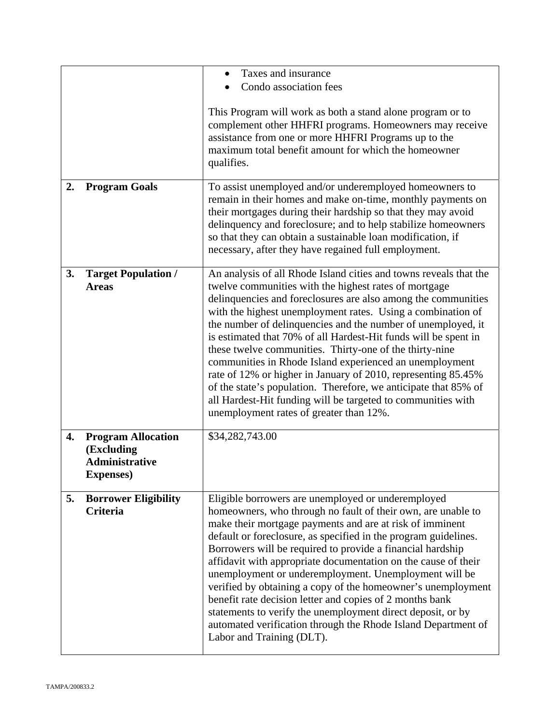|    |                                                                                       | Taxes and insurance<br>$\bullet$                                                                                                                                                                                                                                                                                                                                                                                                                                                                                                                                                                                                                                                                                                                                   |
|----|---------------------------------------------------------------------------------------|--------------------------------------------------------------------------------------------------------------------------------------------------------------------------------------------------------------------------------------------------------------------------------------------------------------------------------------------------------------------------------------------------------------------------------------------------------------------------------------------------------------------------------------------------------------------------------------------------------------------------------------------------------------------------------------------------------------------------------------------------------------------|
|    |                                                                                       | Condo association fees                                                                                                                                                                                                                                                                                                                                                                                                                                                                                                                                                                                                                                                                                                                                             |
|    |                                                                                       | This Program will work as both a stand alone program or to<br>complement other HHFRI programs. Homeowners may receive<br>assistance from one or more HHFRI Programs up to the<br>maximum total benefit amount for which the homeowner<br>qualifies.                                                                                                                                                                                                                                                                                                                                                                                                                                                                                                                |
| 2. | <b>Program Goals</b>                                                                  | To assist unemployed and/or underemployed homeowners to<br>remain in their homes and make on-time, monthly payments on<br>their mortgages during their hardship so that they may avoid<br>delinquency and foreclosure; and to help stabilize homeowners<br>so that they can obtain a sustainable loan modification, if<br>necessary, after they have regained full employment.                                                                                                                                                                                                                                                                                                                                                                                     |
| 3. | <b>Target Population /</b><br><b>Areas</b>                                            | An analysis of all Rhode Island cities and towns reveals that the<br>twelve communities with the highest rates of mortgage<br>delinquencies and foreclosures are also among the communities<br>with the highest unemployment rates. Using a combination of<br>the number of delinquencies and the number of unemployed, it<br>is estimated that 70% of all Hardest-Hit funds will be spent in<br>these twelve communities. Thirty-one of the thirty-nine<br>communities in Rhode Island experienced an unemployment<br>rate of 12% or higher in January of 2010, representing 85.45%<br>of the state's population. Therefore, we anticipate that 85% of<br>all Hardest-Hit funding will be targeted to communities with<br>unemployment rates of greater than 12%. |
| 4. | <b>Program Allocation</b><br>(Excluding<br><b>Administrative</b><br><b>Expenses</b> ) | \$34,282,743.00                                                                                                                                                                                                                                                                                                                                                                                                                                                                                                                                                                                                                                                                                                                                                    |
| 5. | <b>Borrower Eligibility</b><br><b>Criteria</b>                                        | Eligible borrowers are unemployed or underemployed<br>homeowners, who through no fault of their own, are unable to<br>make their mortgage payments and are at risk of imminent<br>default or foreclosure, as specified in the program guidelines.<br>Borrowers will be required to provide a financial hardship<br>affidavit with appropriate documentation on the cause of their<br>unemployment or underemployment. Unemployment will be<br>verified by obtaining a copy of the homeowner's unemployment<br>benefit rate decision letter and copies of 2 months bank<br>statements to verify the unemployment direct deposit, or by<br>automated verification through the Rhode Island Department of<br>Labor and Training (DLT).                                |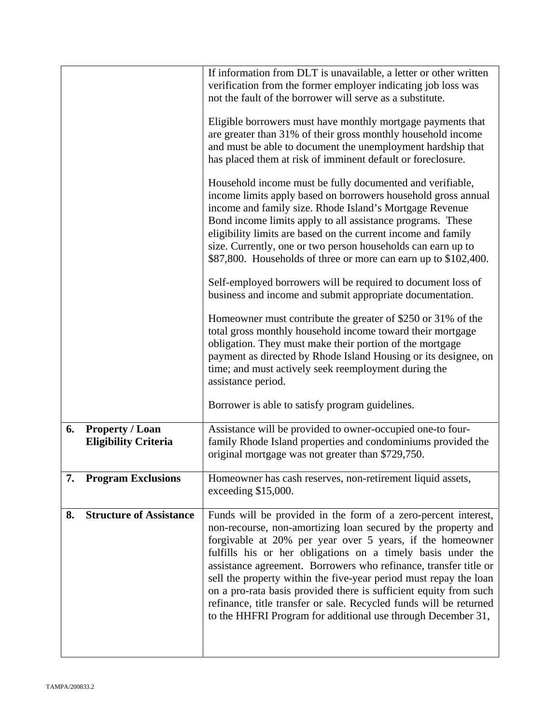|    |                                                       | If information from DLT is unavailable, a letter or other written<br>verification from the former employer indicating job loss was<br>not the fault of the borrower will serve as a substitute.                                                                                                                                                                                                                                                                                                                                                                                                                 |
|----|-------------------------------------------------------|-----------------------------------------------------------------------------------------------------------------------------------------------------------------------------------------------------------------------------------------------------------------------------------------------------------------------------------------------------------------------------------------------------------------------------------------------------------------------------------------------------------------------------------------------------------------------------------------------------------------|
|    |                                                       | Eligible borrowers must have monthly mortgage payments that<br>are greater than 31% of their gross monthly household income<br>and must be able to document the unemployment hardship that<br>has placed them at risk of imminent default or foreclosure.                                                                                                                                                                                                                                                                                                                                                       |
|    |                                                       | Household income must be fully documented and verifiable,<br>income limits apply based on borrowers household gross annual<br>income and family size. Rhode Island's Mortgage Revenue<br>Bond income limits apply to all assistance programs. These<br>eligibility limits are based on the current income and family<br>size. Currently, one or two person households can earn up to<br>\$87,800. Households of three or more can earn up to \$102,400.                                                                                                                                                         |
|    |                                                       | Self-employed borrowers will be required to document loss of<br>business and income and submit appropriate documentation.                                                                                                                                                                                                                                                                                                                                                                                                                                                                                       |
|    |                                                       | Homeowner must contribute the greater of \$250 or 31% of the<br>total gross monthly household income toward their mortgage<br>obligation. They must make their portion of the mortgage<br>payment as directed by Rhode Island Housing or its designee, on<br>time; and must actively seek reemployment during the<br>assistance period.                                                                                                                                                                                                                                                                         |
|    |                                                       | Borrower is able to satisfy program guidelines.                                                                                                                                                                                                                                                                                                                                                                                                                                                                                                                                                                 |
| 6. | <b>Property / Loan</b><br><b>Eligibility Criteria</b> | Assistance will be provided to owner-occupied one-to four-<br>family Rhode Island properties and condominiums provided the<br>original mortgage was not greater than \$729,750.                                                                                                                                                                                                                                                                                                                                                                                                                                 |
| 7. | <b>Program Exclusions</b>                             | Homeowner has cash reserves, non-retirement liquid assets,<br>exceeding \$15,000.                                                                                                                                                                                                                                                                                                                                                                                                                                                                                                                               |
| 8. | <b>Structure of Assistance</b>                        | Funds will be provided in the form of a zero-percent interest,<br>non-recourse, non-amortizing loan secured by the property and<br>forgivable at 20% per year over 5 years, if the homeowner<br>fulfills his or her obligations on a timely basis under the<br>assistance agreement. Borrowers who refinance, transfer title or<br>sell the property within the five-year period must repay the loan<br>on a pro-rata basis provided there is sufficient equity from such<br>refinance, title transfer or sale. Recycled funds will be returned<br>to the HHFRI Program for additional use through December 31, |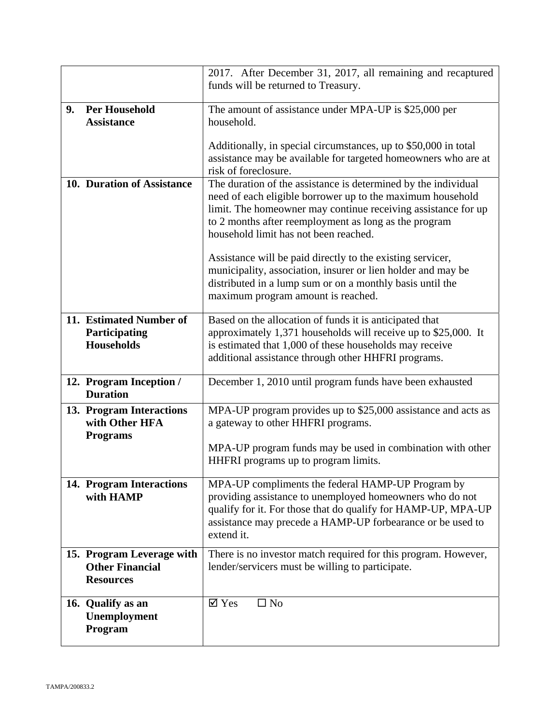|    |                                           | 2017. After December 31, 2017, all remaining and recaptured                                        |
|----|-------------------------------------------|----------------------------------------------------------------------------------------------------|
|    |                                           | funds will be returned to Treasury.                                                                |
|    |                                           |                                                                                                    |
| 9. | <b>Per Household</b><br><b>Assistance</b> | The amount of assistance under MPA-UP is \$25,000 per                                              |
|    |                                           | household.                                                                                         |
|    |                                           | Additionally, in special circumstances, up to \$50,000 in total                                    |
|    |                                           | assistance may be available for targeted homeowners who are at                                     |
|    |                                           | risk of foreclosure.                                                                               |
|    | 10. Duration of Assistance                | The duration of the assistance is determined by the individual                                     |
|    |                                           | need of each eligible borrower up to the maximum household                                         |
|    |                                           | limit. The homeowner may continue receiving assistance for up                                      |
|    |                                           | to 2 months after reemployment as long as the program                                              |
|    |                                           | household limit has not been reached.                                                              |
|    |                                           |                                                                                                    |
|    |                                           | Assistance will be paid directly to the existing servicer,                                         |
|    |                                           | municipality, association, insurer or lien holder and may be                                       |
|    |                                           | distributed in a lump sum or on a monthly basis until the<br>maximum program amount is reached.    |
|    |                                           |                                                                                                    |
|    | 11. Estimated Number of                   | Based on the allocation of funds it is anticipated that                                            |
|    | Participating                             | approximately 1,371 households will receive up to \$25,000. It                                     |
|    | <b>Households</b>                         | is estimated that 1,000 of these households may receive                                            |
|    |                                           | additional assistance through other HHFRI programs.                                                |
|    |                                           |                                                                                                    |
|    | 12. Program Inception /                   | December 1, 2010 until program funds have been exhausted                                           |
|    | <b>Duration</b>                           |                                                                                                    |
|    | 13. Program Interactions                  | MPA-UP program provides up to \$25,000 assistance and acts as                                      |
|    | with Other HFA                            | a gateway to other HHFRI programs.                                                                 |
|    | <b>Programs</b>                           |                                                                                                    |
|    |                                           | MPA-UP program funds may be used in combination with other<br>HHFRI programs up to program limits. |
|    |                                           |                                                                                                    |
|    | 14. Program Interactions                  | MPA-UP compliments the federal HAMP-UP Program by                                                  |
|    | with HAMP                                 | providing assistance to unemployed homeowners who do not                                           |
|    |                                           | qualify for it. For those that do qualify for HAMP-UP, MPA-UP                                      |
|    |                                           | assistance may precede a HAMP-UP forbearance or be used to                                         |
|    |                                           | extend it.                                                                                         |
|    | 15. Program Leverage with                 | There is no investor match required for this program. However,                                     |
|    | <b>Other Financial</b>                    | lender/servicers must be willing to participate.                                                   |
|    | <b>Resources</b>                          |                                                                                                    |
|    |                                           |                                                                                                    |
|    | 16. Qualify as an                         | $\boxtimes$ Yes<br>$\square$ No                                                                    |
|    | Unemployment                              |                                                                                                    |
|    | Program                                   |                                                                                                    |
|    |                                           |                                                                                                    |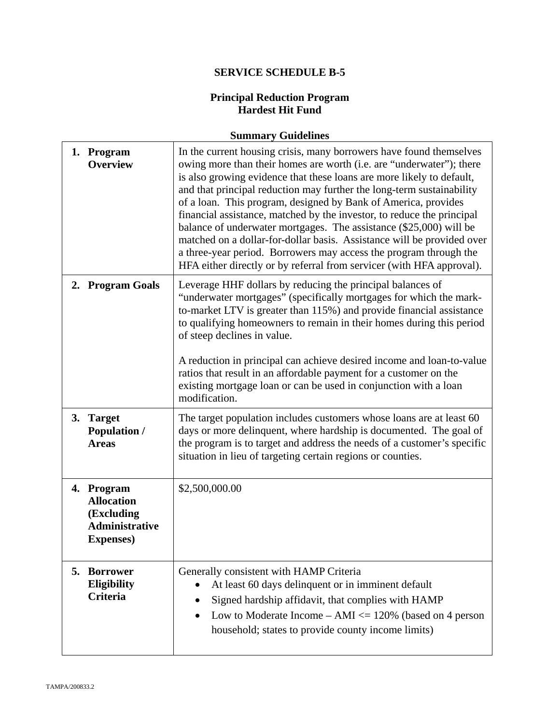#### **Principal Reduction Program Hardest Hit Fund**

|    | 1. Program<br><b>Overview</b>                                                               | In the current housing crisis, many borrowers have found themselves<br>owing more than their homes are worth (i.e. are "underwater"); there<br>is also growing evidence that these loans are more likely to default,<br>and that principal reduction may further the long-term sustainability<br>of a loan. This program, designed by Bank of America, provides<br>financial assistance, matched by the investor, to reduce the principal<br>balance of underwater mortgages. The assistance (\$25,000) will be<br>matched on a dollar-for-dollar basis. Assistance will be provided over<br>a three-year period. Borrowers may access the program through the<br>HFA either directly or by referral from servicer (with HFA approval). |
|----|---------------------------------------------------------------------------------------------|-----------------------------------------------------------------------------------------------------------------------------------------------------------------------------------------------------------------------------------------------------------------------------------------------------------------------------------------------------------------------------------------------------------------------------------------------------------------------------------------------------------------------------------------------------------------------------------------------------------------------------------------------------------------------------------------------------------------------------------------|
|    | 2. Program Goals                                                                            | Leverage HHF dollars by reducing the principal balances of<br>"underwater mortgages" (specifically mortgages for which the mark-<br>to-market LTV is greater than 115%) and provide financial assistance<br>to qualifying homeowners to remain in their homes during this period<br>of steep declines in value.<br>A reduction in principal can achieve desired income and loan-to-value<br>ratios that result in an affordable payment for a customer on the<br>existing mortgage loan or can be used in conjunction with a loan<br>modification.                                                                                                                                                                                      |
|    | 3. Target<br><b>Population /</b><br><b>Areas</b>                                            | The target population includes customers whose loans are at least 60<br>days or more delinquent, where hardship is documented. The goal of<br>the program is to target and address the needs of a customer's specific<br>situation in lieu of targeting certain regions or counties.                                                                                                                                                                                                                                                                                                                                                                                                                                                    |
|    | 4. Program<br><b>Allocation</b><br>(Excluding<br><b>Administrative</b><br><b>Expenses</b> ) | \$2,500,000.00                                                                                                                                                                                                                                                                                                                                                                                                                                                                                                                                                                                                                                                                                                                          |
| 5. | <b>Borrower</b><br>Eligibility<br><b>Criteria</b>                                           | Generally consistent with HAMP Criteria<br>At least 60 days delinquent or in imminent default<br>Signed hardship affidavit, that complies with HAMP<br>Low to Moderate Income $- AMI \le 120\%$ (based on 4 person<br>household; states to provide county income limits)                                                                                                                                                                                                                                                                                                                                                                                                                                                                |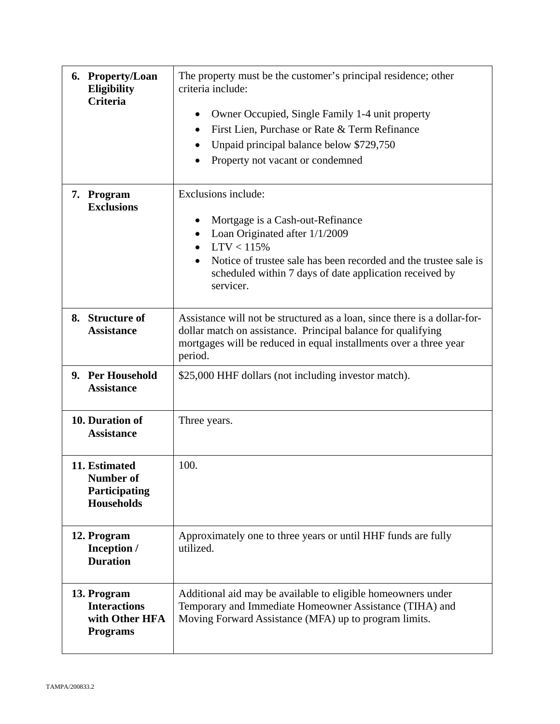| 6. Property/Loan<br><b>Eligibility</b><br><b>Criteria</b>               | The property must be the customer's principal residence; other<br>criteria include:<br>Owner Occupied, Single Family 1-4 unit property<br>٠<br>First Lien, Purchase or Rate & Term Refinance<br>$\bullet$<br>Unpaid principal balance below \$729,750<br>Property not vacant or condemned |
|-------------------------------------------------------------------------|-------------------------------------------------------------------------------------------------------------------------------------------------------------------------------------------------------------------------------------------------------------------------------------------|
| 7. Program<br><b>Exclusions</b>                                         | Exclusions include:<br>Mortgage is a Cash-out-Refinance<br>Loan Originated after 1/1/2009<br>LTV < 115%<br>Notice of trustee sale has been recorded and the trustee sale is<br>scheduled within 7 days of date application received by<br>servicer.                                       |
| 8. Structure of<br><b>Assistance</b>                                    | Assistance will not be structured as a loan, since there is a dollar-for-<br>dollar match on assistance. Principal balance for qualifying<br>mortgages will be reduced in equal installments over a three year<br>period.                                                                 |
| 9. Per Household<br><b>Assistance</b>                                   | \$25,000 HHF dollars (not including investor match).                                                                                                                                                                                                                                      |
| 10. Duration of<br><b>Assistance</b>                                    | Three years.                                                                                                                                                                                                                                                                              |
| 11. Estimated<br>Number of<br>Participating<br><b>Households</b>        | 100.                                                                                                                                                                                                                                                                                      |
| 12. Program<br>Inception /<br><b>Duration</b>                           | Approximately one to three years or until HHF funds are fully<br>utilized.                                                                                                                                                                                                                |
| 13. Program<br><b>Interactions</b><br>with Other HFA<br><b>Programs</b> | Additional aid may be available to eligible homeowners under<br>Temporary and Immediate Homeowner Assistance (TIHA) and<br>Moving Forward Assistance (MFA) up to program limits.                                                                                                          |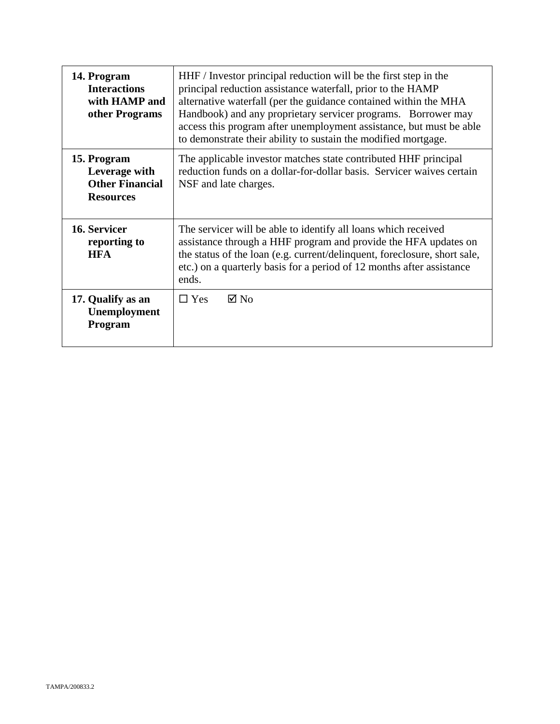| 14. Program<br><b>Interactions</b><br>with HAMP and<br>other Programs      | HHF / Investor principal reduction will be the first step in the<br>principal reduction assistance waterfall, prior to the HAMP<br>alternative waterfall (per the guidance contained within the MHA<br>Handbook) and any proprietary servicer programs. Borrower may<br>access this program after unemployment assistance, but must be able<br>to demonstrate their ability to sustain the modified mortgage. |
|----------------------------------------------------------------------------|---------------------------------------------------------------------------------------------------------------------------------------------------------------------------------------------------------------------------------------------------------------------------------------------------------------------------------------------------------------------------------------------------------------|
| 15. Program<br>Leverage with<br><b>Other Financial</b><br><b>Resources</b> | The applicable investor matches state contributed HHF principal<br>reduction funds on a dollar-for-dollar basis. Servicer waives certain<br>NSF and late charges.                                                                                                                                                                                                                                             |
| 16. Servicer<br>reporting to<br><b>HFA</b>                                 | The servicer will be able to identify all loans which received<br>assistance through a HHF program and provide the HFA updates on<br>the status of the loan (e.g. current/delinquent, foreclosure, short sale,<br>etc.) on a quarterly basis for a period of 12 months after assistance<br>ends.                                                                                                              |
| 17. Qualify as an<br>Unemployment<br><b>Program</b>                        | $\boxtimes$ No<br>$\Box$ Yes                                                                                                                                                                                                                                                                                                                                                                                  |